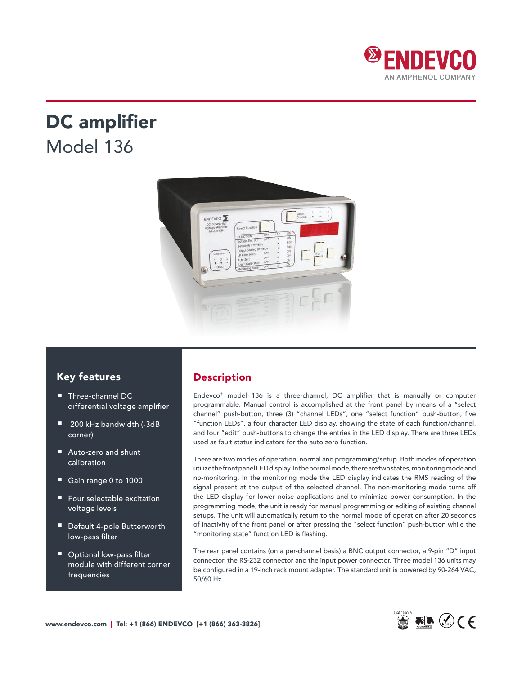

# DC amplifier Model 136



### Key features

- Three-channel DC differential voltage amplifier
- 200 kHz bandwidth (-3dB corner)
- Auto-zero and shunt calibration
- Gain range 0 to 1000
- Four selectable excitation voltage levels
- Default 4-pole Butterworth low-pass filter
- Optional low-pass filter module with different corner frequencies

# Description

Endevco® model 136 is a three-channel, DC amplifier that is manually or computer programmable. Manual control is accomplished at the front panel by means of a "select channel" push-button, three (3) "channel LEDs", one "select function" push-button, five "function LEDs", a four character LED display, showing the state of each function/channel, and four "edit" push-buttons to change the entries in the LED display. There are three LEDs used as fault status indicators for the auto zero function.

There are two modes of operation, normal and programming/setup. Both modes of operation utilize the front panel LED display. In the normal mode, there are two states, monitoring mode and no-monitoring. In the monitoring mode the LED display indicates the RMS reading of the signal present at the output of the selected channel. The non-monitoring mode turns off the LED display for lower noise applications and to minimize power consumption. In the programming mode, the unit is ready for manual programming or editing of existing channel setups. The unit will automatically return to the normal mode of operation after 20 seconds of inactivity of the front panel or after pressing the "select function" push-button while the "monitoring state" function LED is flashing.

The rear panel contains (on a per-channel basis) a BNC output connector, a 9-pin "D" input connector, the RS-232 connector and the input power connector. Three model 136 units may be configured in a 19-inch rack mount adapter. The standard unit is powered by 90-264 VAC, 50/60 Hz.

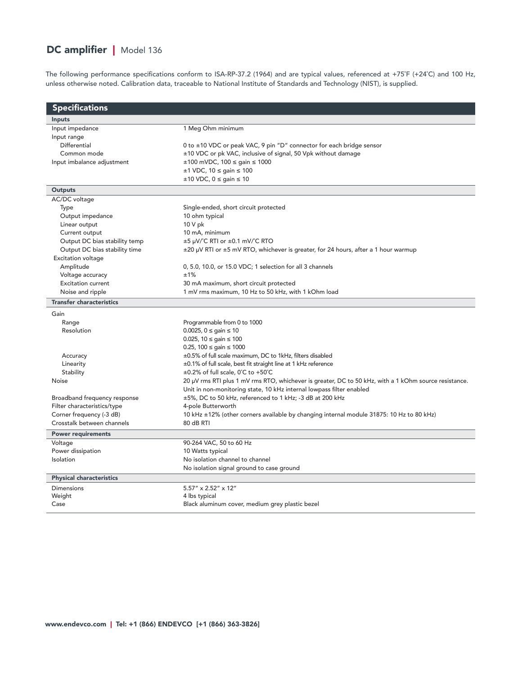# DC amplifier | Model 136

The following performance specifications conform to ISA-RP-37.2 (1964) and are typical values, referenced at +75˚F (+24˚C) and 100 Hz, unless otherwise noted. Calibration data, traceable to National Institute of Standards and Technology (NIST), is supplied.

| <b>Specifications</b>           |                                                                                                       |  |
|---------------------------------|-------------------------------------------------------------------------------------------------------|--|
| <b>Inputs</b>                   |                                                                                                       |  |
| Input impedance                 | 1 Meg Ohm minimum                                                                                     |  |
| Input range                     |                                                                                                       |  |
| Differential                    | 0 to ±10 VDC or peak VAC, 9 pin "D" connector for each bridge sensor                                  |  |
| Common mode                     | ±10 VDC or pk VAC, inclusive of signal, 50 Vpk without damage                                         |  |
| Input imbalance adjustment      | ±100 mVDC, 100 ≤ gain ≤ 1000                                                                          |  |
|                                 | $±1$ VDC, 10 $≤$ gain $≤$ 100                                                                         |  |
|                                 | $\pm 10$ VDC, $0 \le$ gain $\le 10$                                                                   |  |
| Outputs                         |                                                                                                       |  |
| AC/DC voltage                   |                                                                                                       |  |
| Type                            | Single-ended, short circuit protected                                                                 |  |
| Output impedance                | 10 ohm typical                                                                                        |  |
| Linear output                   | 10 V pk                                                                                               |  |
| Current output                  | 10 mA, minimum                                                                                        |  |
| Output DC bias stability temp   | ±5 µV/°C RTI or ±0.1 mV/°C RTO                                                                        |  |
| Output DC bias stability time   | $\pm$ 20 µV RTI or $\pm$ 5 mV RTO, whichever is greater, for 24 hours, after a 1 hour warmup          |  |
| Excitation voltage              |                                                                                                       |  |
| Amplitude                       | 0, 5.0, 10.0, or 15.0 VDC; 1 selection for all 3 channels                                             |  |
| Voltage accuracy                | ±1%                                                                                                   |  |
| <b>Excitation current</b>       | 30 mA maximum, short circuit protected                                                                |  |
| Noise and ripple                | 1 mV rms maximum, 10 Hz to 50 kHz, with 1 kOhm load                                                   |  |
| <b>Transfer characteristics</b> |                                                                                                       |  |
| Gain                            |                                                                                                       |  |
| Range                           | Programmable from 0 to 1000                                                                           |  |
| Resolution                      | $0.0025, 0 \le$ gain $\le 10$                                                                         |  |
|                                 | 0.025, 10 $\leq$ gain $\leq$ 100                                                                      |  |
|                                 | 0.25, 100 $\le$ gain $\le$ 1000                                                                       |  |
| Accuracy                        | ±0.5% of full scale maximum, DC to 1kHz, filters disabled                                             |  |
| Linearity                       | ±0.1% of full scale, best fit straight line at 1 kHz reference                                        |  |
| Stability                       | $\pm 0.2\%$ of full scale, 0°C to +50°C                                                               |  |
| <b>Noise</b>                    | 20 µV rms RTI plus 1 mV rms RTO, whichever is greater, DC to 50 kHz, with a 1 kOhm source resistance. |  |
|                                 | Unit in non-monitoring state, 10 kHz internal lowpass filter enabled                                  |  |
| Broadband frequency response    | ±5%, DC to 50 kHz, referenced to 1 kHz; -3 dB at 200 kHz                                              |  |
| Filter characteristics/type     | 4-pole Butterworth                                                                                    |  |
| Corner frequency (-3 dB)        | 10 kHz ±12% (other corners available by changing internal module 31875: 10 Hz to 80 kHz)              |  |
| Crosstalk between channels      | 80 dB RTI                                                                                             |  |
| <b>Power requirements</b>       |                                                                                                       |  |
| Voltage                         | 90-264 VAC, 50 to 60 Hz                                                                               |  |
| Power dissipation               | 10 Watts typical                                                                                      |  |
| Isolation                       | No isolation channel to channel                                                                       |  |
|                                 | No isolation signal ground to case ground                                                             |  |
| <b>Physical characteristics</b> |                                                                                                       |  |
| <b>Dimensions</b>               | 5.57" x 2.52" x 12"                                                                                   |  |
| Weight                          | 4 lbs typical                                                                                         |  |
| Case                            | Black aluminum cover, medium grey plastic bezel                                                       |  |
|                                 |                                                                                                       |  |